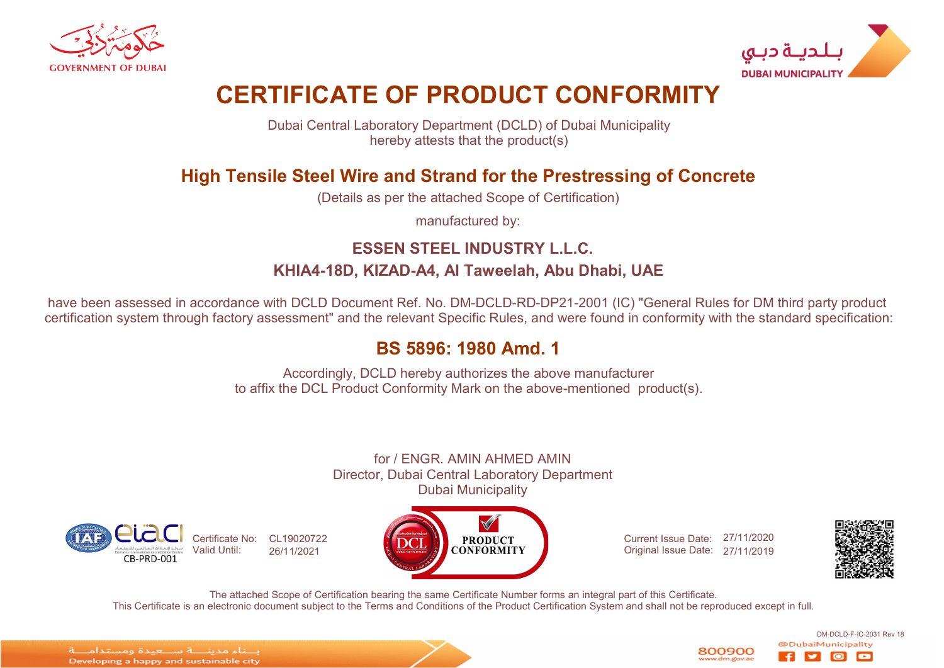



# CERTIFICATE OF PRODUCT CONFORMITY

Dubai Central Laboratory Department (DCLD) of Dubai Municipality hereby attests that the product(s)

# High Tensile Steel Wire and Strand for the Prestressing of Concrete

(Details as per the attached Scope of Certification)

manufactured by:

# ESSEN STEEL INDUSTRY L.L.C. KHIA4-18D, KIZAD-A4, Al Taweelah, Abu Dhabi, UAE

have been assessed in accordance with DCLD Document Ref. No. DM-DCLD-RD-DP21-2001 (IC) "General Rules for DM third party product certification system through factory assessment" and the relevant Specific Rules, and were found in conformity with the standard specification:

# BS 5896: 1980 Amd. 1

Accordingly, DCLD hereby authorizes the above manufacturer to affix the DCL Product Conformity Mark on the above-mentioned product(s).

for / ENGR. AMIN AHMED AMIN Director, Dubai Central Laboratory Department Dubai Municipality





Current Issue Date: 27/11/2020 Original Issue Date: 27/11/2019



DM-DCLD-F-IC-2031 Rev 18

lo

The attached Scope of Certification bearing the same Certificate Number forms an integral part of this Certificate. This Certificate is an electronic document subject to the Terms and Conditions of the Product Certification System and shall not be reproduced except in full.

الماء مدبنا قاسا عبدة ومستداما قا Developing a happy and sustainable city

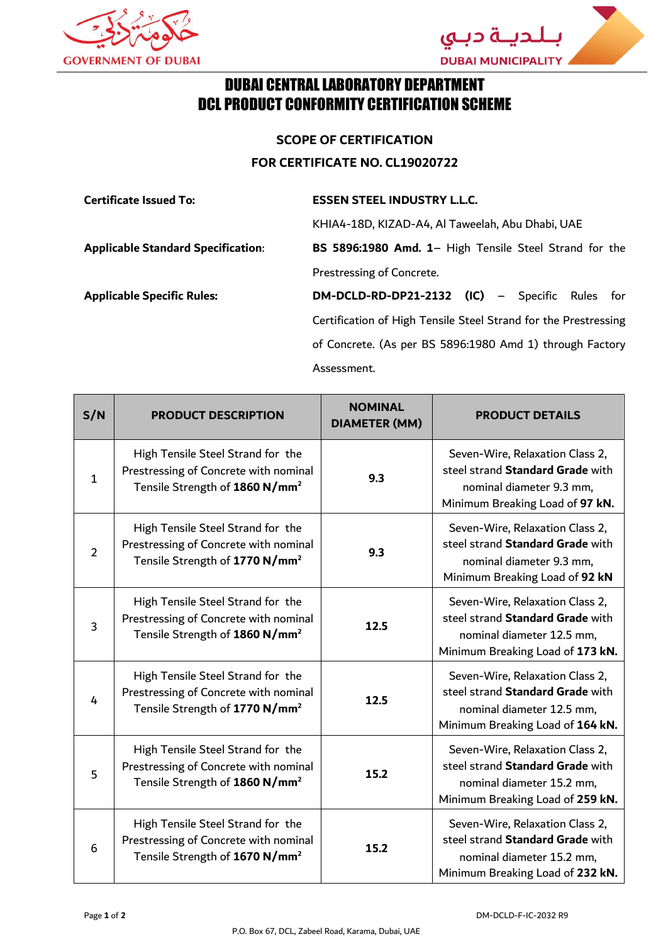



#### DUBAI CENTRAL LABORATORY DEPARTMENT DCL PRODUCT CONFORMITY CERTIFICATION SCHEME

**SCOPE OF CERTIFICATION FOR CERTIFICATE NO. CL19020722**

#### **Certificate Issued To: ESSEN STEEL INDUSTRY L.L.C.**

KHIA4-18D, KIZAD-A4, Al Taweelah, Abu Dhabi, UAE **Applicable Standard Specification**: **BS 5896:1980 Amd. 1**– High Tensile Steel Strand for the Prestressing of Concrete.

**Applicable Specific Rules: DM-DCLD-RD-DP21-2132 (IC)** – Specific Rules for Certification of High Tensile Steel Strand for the Prestressing of Concrete. (As per BS 5896:1980 Amd 1) through Factory Assessment.

| S/N            | <b>PRODUCT DESCRIPTION</b>                                                                                               | <b>NOMINAL</b><br><b>DIAMETER (MM)</b> | <b>PRODUCT DETAILS</b>                                                                                                               |
|----------------|--------------------------------------------------------------------------------------------------------------------------|----------------------------------------|--------------------------------------------------------------------------------------------------------------------------------------|
| $\mathbf{1}$   | High Tensile Steel Strand for the<br>Prestressing of Concrete with nominal<br>Tensile Strength of 1860 N/mm <sup>2</sup> | 9.3                                    | Seven-Wire, Relaxation Class 2,<br>steel strand Standard Grade with<br>nominal diameter 9.3 mm,<br>Minimum Breaking Load of 97 kN.   |
| $\overline{2}$ | High Tensile Steel Strand for the<br>Prestressing of Concrete with nominal<br>Tensile Strength of 1770 N/mm <sup>2</sup> | 9.3                                    | Seven-Wire, Relaxation Class 2,<br>steel strand Standard Grade with<br>nominal diameter 9.3 mm,<br>Minimum Breaking Load of 92 kN    |
| 3              | High Tensile Steel Strand for the<br>Prestressing of Concrete with nominal<br>Tensile Strength of 1860 N/mm <sup>2</sup> | 12.5                                   | Seven-Wire, Relaxation Class 2,<br>steel strand Standard Grade with<br>nominal diameter 12.5 mm,<br>Minimum Breaking Load of 173 kN. |
| 4              | High Tensile Steel Strand for the<br>Prestressing of Concrete with nominal<br>Tensile Strength of 1770 N/mm <sup>2</sup> | 12.5                                   | Seven-Wire, Relaxation Class 2,<br>steel strand Standard Grade with<br>nominal diameter 12.5 mm,<br>Minimum Breaking Load of 164 kN. |
| 5              | High Tensile Steel Strand for the<br>Prestressing of Concrete with nominal<br>Tensile Strength of 1860 N/mm <sup>2</sup> | 15.2                                   | Seven-Wire, Relaxation Class 2,<br>steel strand Standard Grade with<br>nominal diameter 15.2 mm,<br>Minimum Breaking Load of 259 kN. |
| 6              | High Tensile Steel Strand for the<br>Prestressing of Concrete with nominal<br>Tensile Strength of 1670 N/mm <sup>2</sup> | 15.2                                   | Seven-Wire, Relaxation Class 2,<br>steel strand Standard Grade with<br>nominal diameter 15.2 mm,<br>Minimum Breaking Load of 232 kN. |